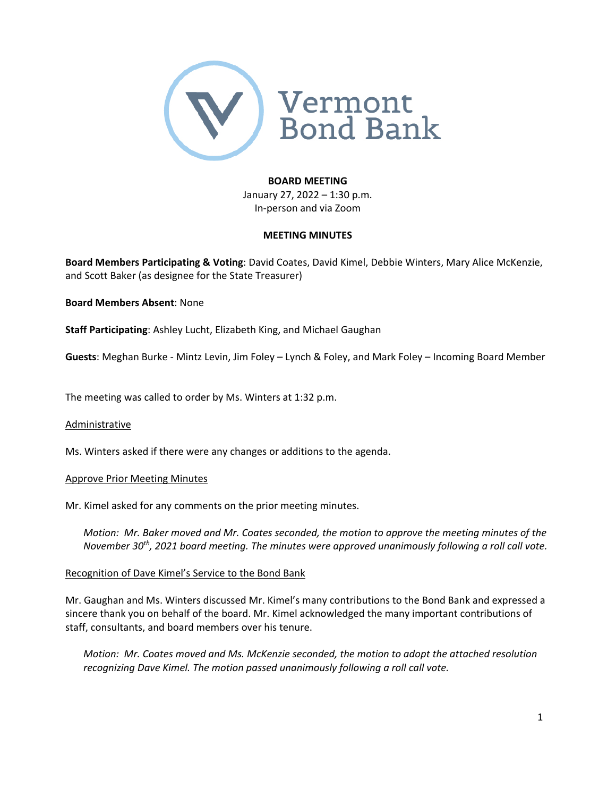

## **BOARD MEETING**

January 27, 2022 – 1:30 p.m. In‐person and via Zoom

#### **MEETING MINUTES**

**Board Members Participating & Voting**: David Coates, David Kimel, Debbie Winters, Mary Alice McKenzie, and Scott Baker (as designee for the State Treasurer)

## **Board Members Absent**: None

**Staff Participating**: Ashley Lucht, Elizabeth King, and Michael Gaughan

**Guests**: Meghan Burke ‐ Mintz Levin, Jim Foley – Lynch & Foley, and Mark Foley – Incoming Board Member

The meeting was called to order by Ms. Winters at 1:32 p.m.

## Administrative

Ms. Winters asked if there were any changes or additions to the agenda.

## Approve Prior Meeting Minutes

Mr. Kimel asked for any comments on the prior meeting minutes.

*Motion: Mr. Baker moved and Mr. Coates seconded, the motion to approve the meeting minutes of the November 30th, 2021 board meeting. The minutes were approved unanimously following a roll call vote.*

## Recognition of Dave Kimel's Service to the Bond Bank

Mr. Gaughan and Ms. Winters discussed Mr. Kimel's many contributions to the Bond Bank and expressed a sincere thank you on behalf of the board. Mr. Kimel acknowledged the many important contributions of staff, consultants, and board members over his tenure.

*Motion: Mr. Coates moved and Ms. McKenzie seconded, the motion to adopt the attached resolution recognizing Dave Kimel. The motion passed unanimously following a roll call vote.*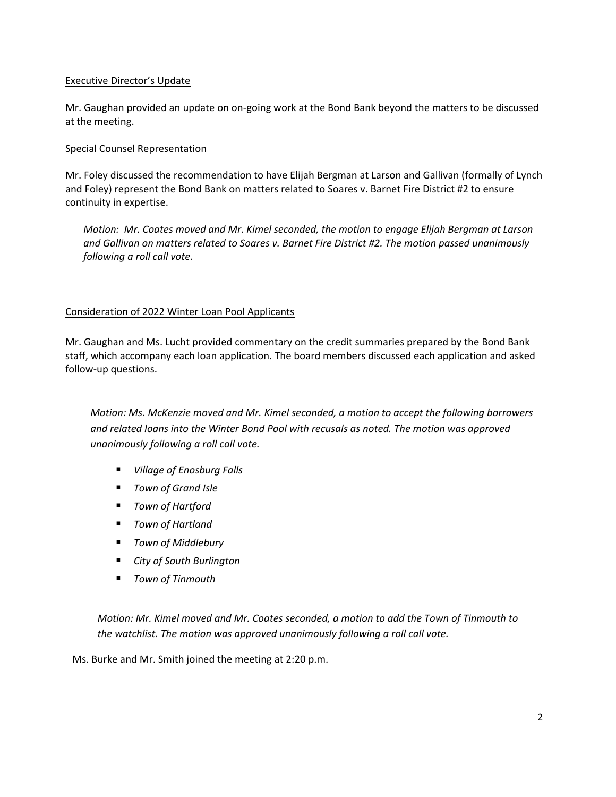## Executive Director's Update

Mr. Gaughan provided an update on on‐going work at the Bond Bank beyond the matters to be discussed at the meeting.

## Special Counsel Representation

Mr. Foley discussed the recommendation to have Elijah Bergman at Larson and Gallivan (formally of Lynch and Foley) represent the Bond Bank on matters related to Soares v. Barnet Fire District #2 to ensure continuity in expertise.

*Motion: Mr. Coates moved and Mr. Kimel seconded, the motion to engage Elijah Bergman at Larson and Gallivan on matters related to Soares v. Barnet Fire District #2. The motion passed unanimously following a roll call vote.* 

## Consideration of 2022 Winter Loan Pool Applicants

Mr. Gaughan and Ms. Lucht provided commentary on the credit summaries prepared by the Bond Bank staff, which accompany each loan application. The board members discussed each application and asked follow‐up questions.

*Motion: Ms. McKenzie moved and Mr. Kimel seconded, a motion to accept the following borrowers and related loans into the Winter Bond Pool with recusals as noted. The motion was approved unanimously following a roll call vote.*

- *Village of Enosburg Falls*
- *Town of Grand Isle*
- *Town of Hartford*
- *Town of Hartland*
- *Town of Middlebury*
- *City of South Burlington*
- *Town of Tinmouth*

*Motion: Mr. Kimel moved and Mr. Coates seconded, a motion to add the Town of Tinmouth to the watchlist. The motion was approved unanimously following a roll call vote.*

Ms. Burke and Mr. Smith joined the meeting at 2:20 p.m.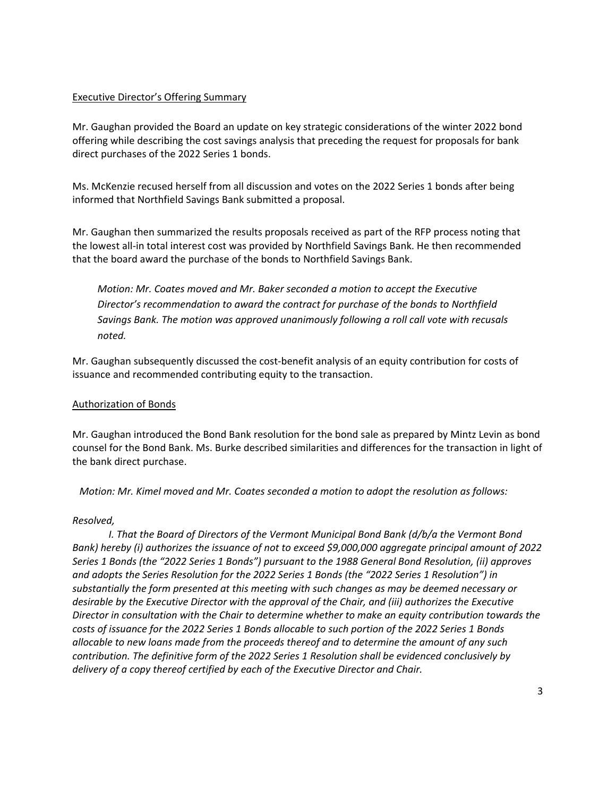# Executive Director's Offering Summary

Mr. Gaughan provided the Board an update on key strategic considerations of the winter 2022 bond offering while describing the cost savings analysis that preceding the request for proposals for bank direct purchases of the 2022 Series 1 bonds.

Ms. McKenzie recused herself from all discussion and votes on the 2022 Series 1 bonds after being informed that Northfield Savings Bank submitted a proposal.

Mr. Gaughan then summarized the results proposals received as part of the RFP process noting that the lowest all‐in total interest cost was provided by Northfield Savings Bank. He then recommended that the board award the purchase of the bonds to Northfield Savings Bank.

*Motion: Mr. Coates moved and Mr. Baker seconded a motion to accept the Executive Director's recommendation to award the contract for purchase of the bonds to Northfield Savings Bank. The motion was approved unanimously following a roll call vote with recusals noted.*

Mr. Gaughan subsequently discussed the cost‐benefit analysis of an equity contribution for costs of issuance and recommended contributing equity to the transaction.

## Authorization of Bonds

Mr. Gaughan introduced the Bond Bank resolution for the bond sale as prepared by Mintz Levin as bond counsel for the Bond Bank. Ms. Burke described similarities and differences for the transaction in light of the bank direct purchase.

*Motion: Mr. Kimel moved and Mr. Coates seconded a motion to adopt the resolution as follows:*

## *Resolved,*

*I. That the Board of Directors of the Vermont Municipal Bond Bank (d/b/a the Vermont Bond Bank) hereby (i) authorizes the issuance of not to exceed \$9,000,000 aggregate principal amount of 2022 Series 1 Bonds (the "2022 Series 1 Bonds") pursuant to the 1988 General Bond Resolution, (ii) approves and adopts the Series Resolution for the 2022 Series 1 Bonds (the "2022 Series 1 Resolution") in substantially the form presented at this meeting with such changes as may be deemed necessary or desirable by the Executive Director with the approval of the Chair, and (iii) authorizes the Executive Director in consultation with the Chair to determine whether to make an equity contribution towards the* costs of issuance for the 2022 Series 1 Bonds allocable to such portion of the 2022 Series 1 Bonds *allocable to new loans made from the proceeds thereof and to determine the amount of any such contribution. The definitive form of the 2022 Series 1 Resolution shall be evidenced conclusively by delivery of a copy thereof certified by each of the Executive Director and Chair.*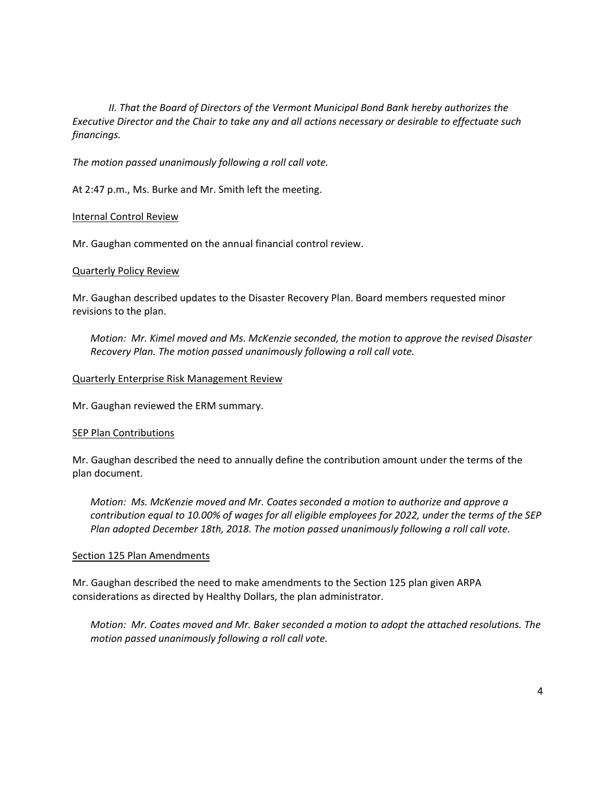*II. That the Board of Directors of the Vermont Municipal Bond Bank hereby authorizes the Executive Director and the Chair to take any and all actions necessary or desirable to effectuate such financings.* 

*The motion passed unanimously following a roll call vote.* 

At 2:47 p.m., Ms. Burke and Mr. Smith left the meeting.

#### Internal Control Review

Mr. Gaughan commented on the annual financial control review.

### Quarterly Policy Review

Mr. Gaughan described updates to the Disaster Recovery Plan. Board members requested minor revisions to the plan.

*Motion: Mr. Kimel moved and Ms. McKenzie seconded, the motion to approve the revised Disaster Recovery Plan. The motion passed unanimously following a roll call vote.* 

#### Quarterly Enterprise Risk Management Review

Mr. Gaughan reviewed the ERM summary.

#### SEP Plan Contributions

Mr. Gaughan described the need to annually define the contribution amount under the terms of the plan document.

*Motion: Ms. McKenzie moved and Mr. Coates seconded a motion to authorize and approve a* contribution equal to 10.00% of wages for all eligible employees for 2022, under the terms of the SEP *Plan adopted December 18th, 2018. The motion passed unanimously following a roll call vote.*

#### Section 125 Plan Amendments

Mr. Gaughan described the need to make amendments to the Section 125 plan given ARPA considerations as directed by Healthy Dollars, the plan administrator.

*Motion: Mr. Coates moved and Mr. Baker seconded a motion to adopt the attached resolutions. The motion passed unanimously following a roll call vote.*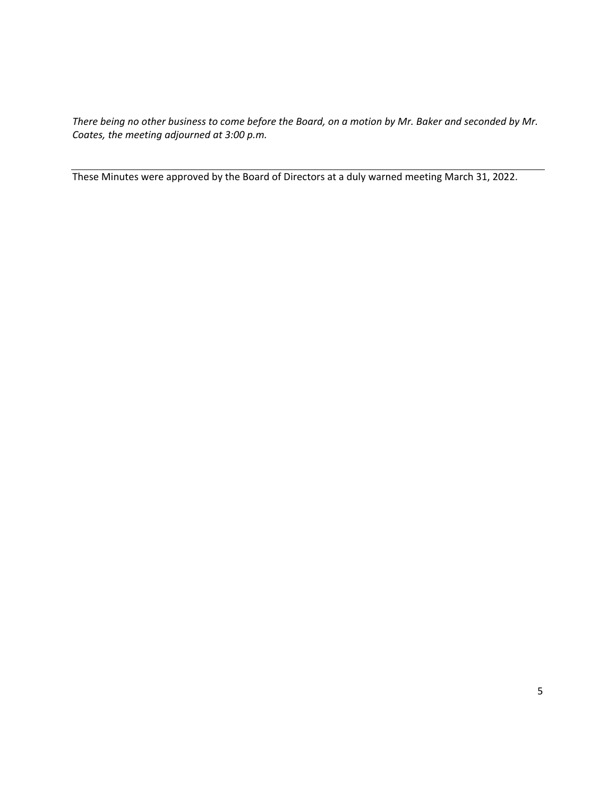There being no other business to come before the Board, on a motion by Mr. Baker and seconded by Mr. *Coates, the meeting adjourned at 3:00 p.m.* 

These Minutes were approved by the Board of Directors at a duly warned meeting March 31, 2022.